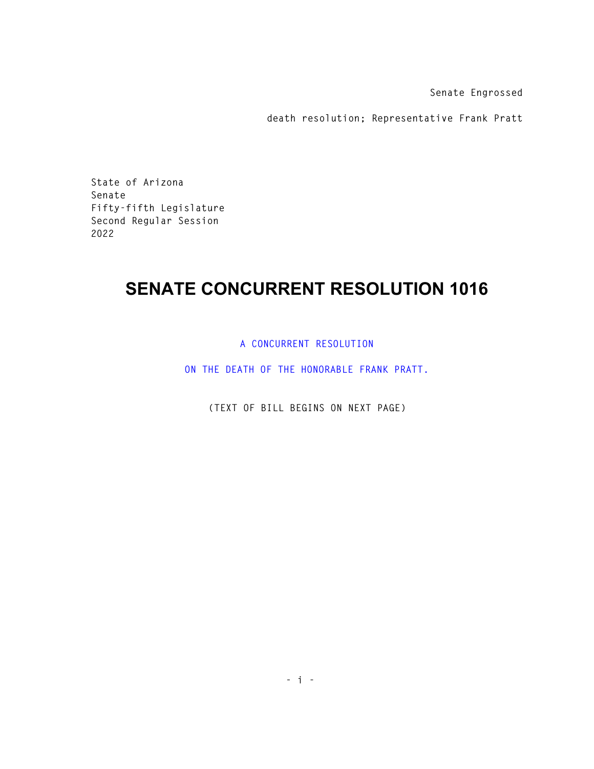**Senate Engrossed** 

**death resolution; Representative Frank Pratt** 

**State of Arizona Senate Fifty-fifth Legislature Second Regular Session 2022** 

## **SENATE CONCURRENT RESOLUTION 1016**

**A CONCURRENT RESOLUTION** 

**ON THE DEATH OF THE HONORABLE FRANK PRATT.** 

**(TEXT OF BILL BEGINS ON NEXT PAGE)**